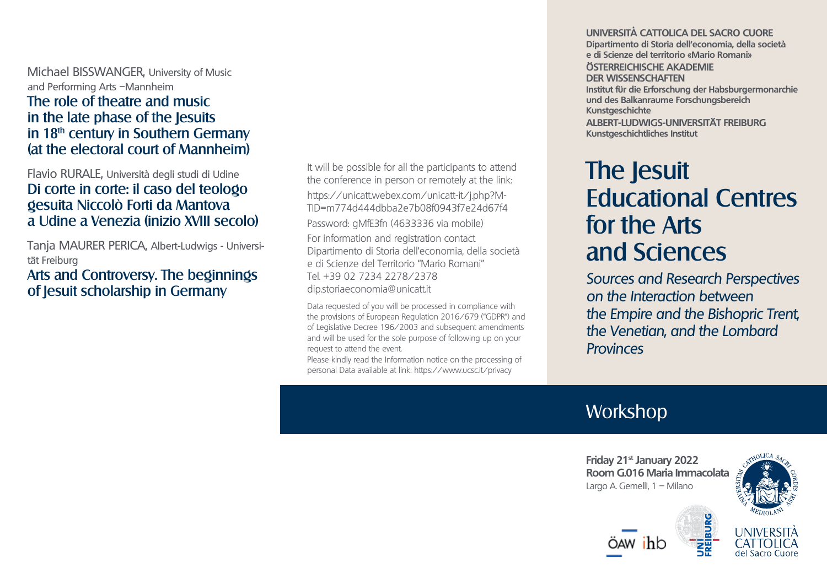Michael BISSWANGER, University of Music and Performing Arts –Mannheim The role of theatre and music in the late phase of the Jesuits in  $18<sup>th</sup>$  century in Southern Germany (at the electoral court of Mannheim)

### Flavio RURALE, Università degli studi di Udine Di corte in corte: il caso del teologo gesuita Niccolò Forti da Mantova a Udine a Venezia (inizio XVIII secolo)

Tanja MAURER PERICA, Albert-Ludwigs - Universität Freiburg

Arts and Controversy. The beginnings of Jesuit scholarship in Germany

It will be possible for all the participants to attend the conference in person or remotely at the link: [https://unicatt.webex.com/unicatt-it/j.php?M-](https://unicatt.webex.com/unicatt-it/j.php?MTID=m774d444dbba2e7b08f0943f7e24d67f4)[TID=m774d444dbba2e7b08f0943f7e24d67f4](https://unicatt.webex.com/unicatt-it/j.php?MTID=m774d444dbba2e7b08f0943f7e24d67f4) Password: gMfE3fn (4633336 via mobile) For information and registration contact Dipartimento di Storia dell'economia, della società e di Scienze del Territorio "Mario Romani" Tel. +39 02 7234 2278/2378 dip.storiaeconomia@unicatt.it

Data requested of you will be processed in compliance with the provisions of European Regulation 2016/679 ("GDPR") and of Legislative Decree 196/2003 and subsequent amendments and will be used for the sole purpose of following up on your request to attend the event.

Please kindly read the Information notice on the processing of personal Data available at link: https://www.ucsc.it/privacy

#### **UNIVERSITÀ CATTOLICA DEL SACRO CUORE Dipartimento di Storia dell'economia, della società e di Scienze del territorio «Mario Romani»**

**ÖSTERREICHISCHE AKADEMIE DER WISSENSCHAFTEN Institut für die Erforschung der Habsburgermonarchie und des Balkanraume Forschungsbereich Kunstgeschichte**

**ALBERT-LUDWIGS-UNIVERSITÄT FREIBURG Kunstgeschichtliches Institut**

# The Jesuit Educational Centres for the Arts and Sciences

Sources and Research Perspectives on the Interaction between the Empire and the Bishopric Trent, the Venetian, and the Lombard **Provinces** 

# **Workshop**